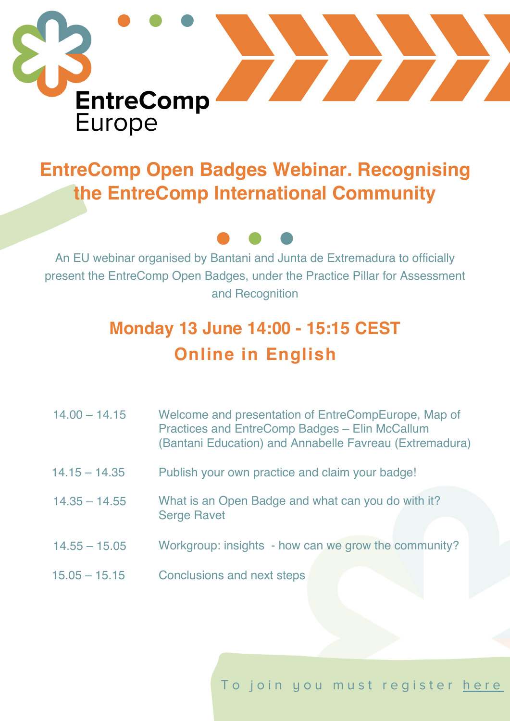

## **EntreComp Open Badges Webinar. Recognising the EntreComp International Community**



An EU webinar organised by Bantani and Junta de Extremadura to officially present the EntreComp Open Badges, under the Practice Pillar for Assessment and Recognition

## **Monday 13 June 14:00 - 15:15 CEST Online in English**

| $14.00 - 14.15$ | Welcome and presentation of EntreCompEurope, Map of<br><b>Practices and EntreComp Badges - Elin McCallum</b><br>(Bantani Education) and Annabelle Favreau (Extremadura) |
|-----------------|-------------------------------------------------------------------------------------------------------------------------------------------------------------------------|
| $14.15 - 14.35$ | Publish your own practice and claim your badge!                                                                                                                         |
| $14.35 - 14.55$ | What is an Open Badge and what can you do with it?<br><b>Serge Ravet</b>                                                                                                |
| $14.55 - 15.05$ | Workgroup: insights - how can we grow the community?                                                                                                                    |
| $15.05 - 15.15$ | Conclusions and next steps                                                                                                                                              |

To join you must register here